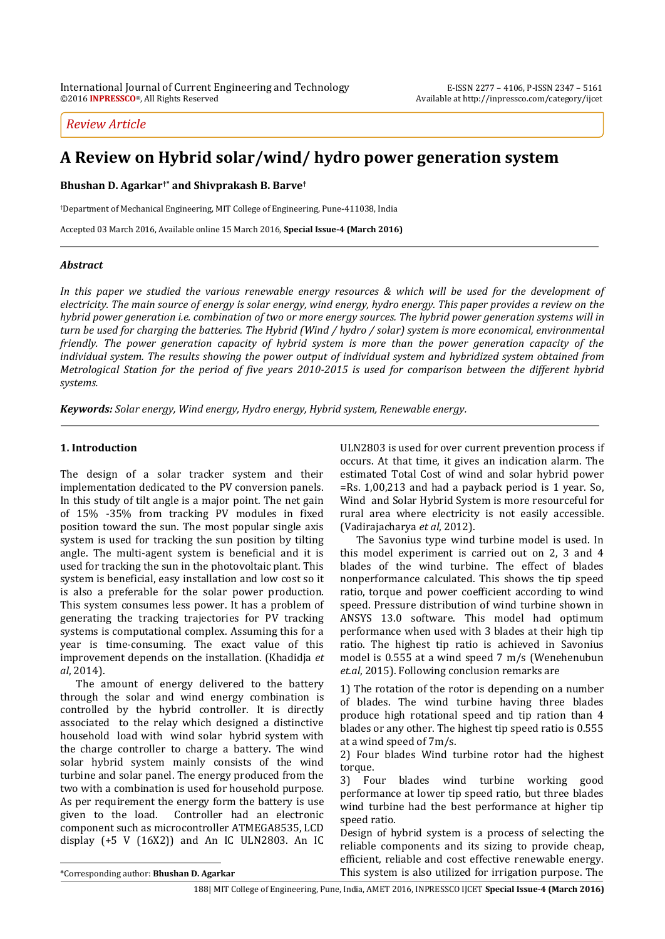# *Review Article*

# **A Review on Hybrid solar/wind/ hydro power generation system**

**Bhushan D. Agarkar†\* and Shivprakash B. Barve†**

†Department of Mechanical Engineering, MIT College of Engineering, Pune-411038, India

Accepted 03 March 2016, Available online 15 March 2016, **Special Issue-4 (March 2016)**

### *Abstract*

*In this paper we studied the various renewable energy resources & which will be used for the development of electricity. The main source of energy is solar energy, wind energy, hydro energy. This paper provides a review on the hybrid power generation i.e. combination of two or more energy sources. The hybrid power generation systems will in turn be used for charging the batteries. The Hybrid (Wind / hydro / solar) system is more economical, environmental friendly. The power generation capacity of hybrid system is more than the power generation capacity of the individual system. The results showing the power output of individual system and hybridized system obtained from Metrological Station for the period of five years 2010-2015 is used for comparison between the different hybrid systems.*

*Keywords: Solar energy, Wind energy, Hydro energy, Hybrid system, Renewable energy.*

### **1. Introduction**

The design of a solar tracker system and their implementation dedicated to the PV conversion panels. In this study of tilt angle is a major point. The net gain of 15% -35% from tracking PV modules in fixed position toward the sun. The most popular single axis system is used for tracking the sun position by tilting angle. The multi-agent system is beneficial and it is used for tracking the sun in the photovoltaic plant. This system is beneficial, easy installation and low cost so it is also a preferable for the solar power production. This system consumes less power. It has a problem of generating the tracking trajectories for PV tracking systems is computational complex. Assuming this for a year is time-consuming. The exact value of this improvement depends on the installation. (Khadidja *et al*, 2014).

The amount of energy delivered to the battery through the solar and wind energy combination is controlled by the hybrid controller. It is directly associated to the relay which designed a distinctive household load with wind solar hybrid system with the charge controller to charge a battery. The wind solar hybrid system mainly consists of the wind turbine and solar panel. The energy produced from the two with a combination is used for household purpose. As per requirement the energy form the battery is use given to the load. Controller had an electronic component such as microcontroller ATMEGA8535, LCD display (+5 V (16X2)) and An IC ULN2803. An IC

ULN2803 is used for over current prevention process if occurs. At that time, it gives an indication alarm. The estimated Total Cost of wind and solar hybrid power =Rs. 1,00,213 and had a payback period is 1 year. So, Wind and Solar Hybrid System is more resourceful for rural area where electricity is not easily accessible. (Vadirajacharya *et al*, 2012).

The Savonius type wind turbine model is used. In this model experiment is carried out on 2, 3 and 4 blades of the wind turbine. The effect of blades nonperformance calculated. This shows the tip speed ratio, torque and power coefficient according to wind speed. Pressure distribution of wind turbine shown in ANSYS 13.0 software. This model had optimum performance when used with 3 blades at their high tip ratio. The highest tip ratio is achieved in Savonius model is 0.555 at a wind speed 7 m/s (Wenehenubun *et.al*, 2015). Following conclusion remarks are

1) The rotation of the rotor is depending on a number of blades. The wind turbine having three blades produce high rotational speed and tip ration than 4 blades or any other. The highest tip speed ratio is 0.555 at a wind speed of 7m/s.

2) Four blades Wind turbine rotor had the highest torque.

3) Four blades wind turbine working good performance at lower tip speed ratio, but three blades wind turbine had the best performance at higher tip speed ratio.

Design of hybrid system is a process of selecting the reliable components and its sizing to provide cheap, efficient, reliable and cost effective renewable energy. This system is also utilized for irrigation purpose. The

 $\overline{a}$ 

<sup>\*</sup>Corresponding author: **Bhushan D. Agarkar**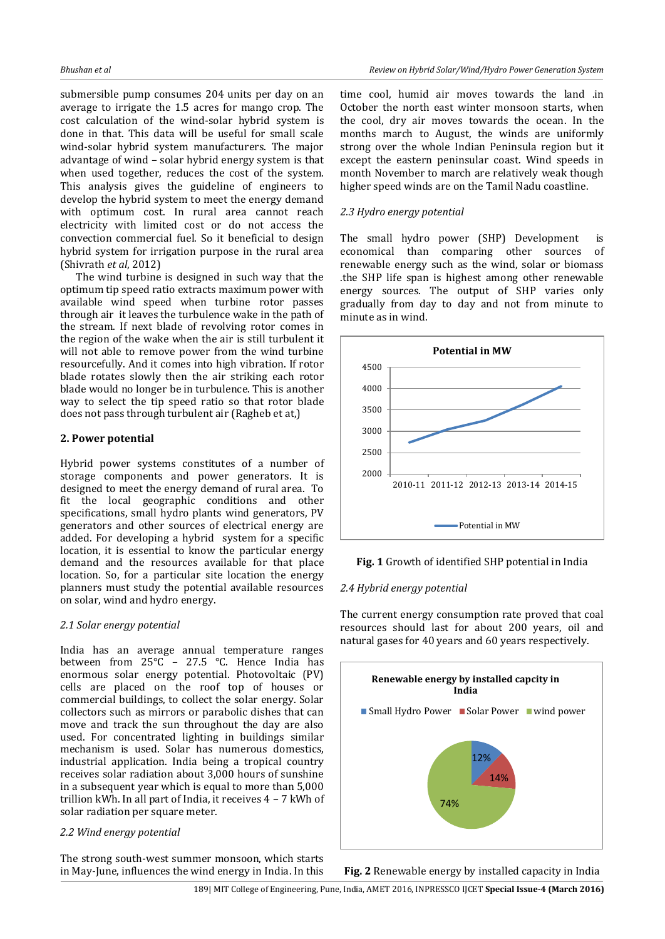submersible pump consumes 204 units per day on an average to irrigate the 1.5 acres for mango crop. The cost calculation of the wind-solar hybrid system is done in that. This data will be useful for small scale wind-solar hybrid system manufacturers. The major advantage of wind – solar hybrid energy system is that when used together, reduces the cost of the system. This analysis gives the guideline of engineers to develop the hybrid system to meet the energy demand with optimum cost. In rural area cannot reach electricity with limited cost or do not access the convection commercial fuel. So it beneficial to design hybrid system for irrigation purpose in the rural area (Shivrath *et al*, 2012)

The wind turbine is designed in such way that the optimum tip speed ratio extracts maximum power with available wind speed when turbine rotor passes through air it leaves the turbulence wake in the path of the stream. If next blade of revolving rotor comes in the region of the wake when the air is still turbulent it will not able to remove power from the wind turbine resourcefully. And it comes into high vibration. If rotor blade rotates slowly then the air striking each rotor blade would no longer be in turbulence. This is another way to select the tip speed ratio so that rotor blade does not pass through turbulent air (Ragheb et at,)

### **2. Power potential**

Hybrid power systems constitutes of a number of storage components and power generators. It is designed to meet the energy demand of rural area. To fit the local geographic conditions and other specifications, small hydro plants wind generators, PV generators and other sources of electrical energy are added. For developing a hybrid system for a specific location, it is essential to know the particular energy demand and the resources available for that place location. So, for a particular site location the energy planners must study the potential available resources on solar, wind and hydro energy.

### *2.1 Solar energy potential*

India has an average annual temperature ranges between from 25°C – 27.5 °C. Hence India has enormous solar energy potential. Photovoltaic (PV) cells are placed on the roof top of houses or commercial buildings, to collect the solar energy. Solar collectors such as mirrors or parabolic dishes that can move and track the sun throughout the day are also used. For concentrated lighting in buildings similar mechanism is used. Solar has numerous domestics, industrial application. India being a tropical country receives solar radiation about 3,000 hours of sunshine in a subsequent year which is equal to more than 5,000 trillion kWh. In all part of India, it receives 4 – 7 kWh of solar radiation per square meter.

### *2.2 Wind energy potential*

The strong south-west summer monsoon, which starts in May-June, influences the wind energy in India. In this

time cool, humid air moves towards the land .in October the north east winter monsoon starts, when the cool, dry air moves towards the ocean. In the months march to August, the winds are uniformly strong over the whole Indian Peninsula region but it except the eastern peninsular coast. Wind speeds in month November to march are relatively weak though higher speed winds are on the Tamil Nadu coastline.

# *2.3 Hydro energy potential*

The small hydro power (SHP) Development is economical than comparing other sources of renewable energy such as the wind, solar or biomass .the SHP life span is highest among other renewable energy sources. The output of SHP varies only gradually from day to day and not from minute to minute as in wind.



**Fig. 1** Growth of identified SHP potential in India

### *2.4 Hybrid energy potential*

The current energy consumption rate proved that coal resources should last for about 200 years, oil and natural gases for 40 years and 60 years respectively.



**Fig. 2** Renewable energy by installed capacity in India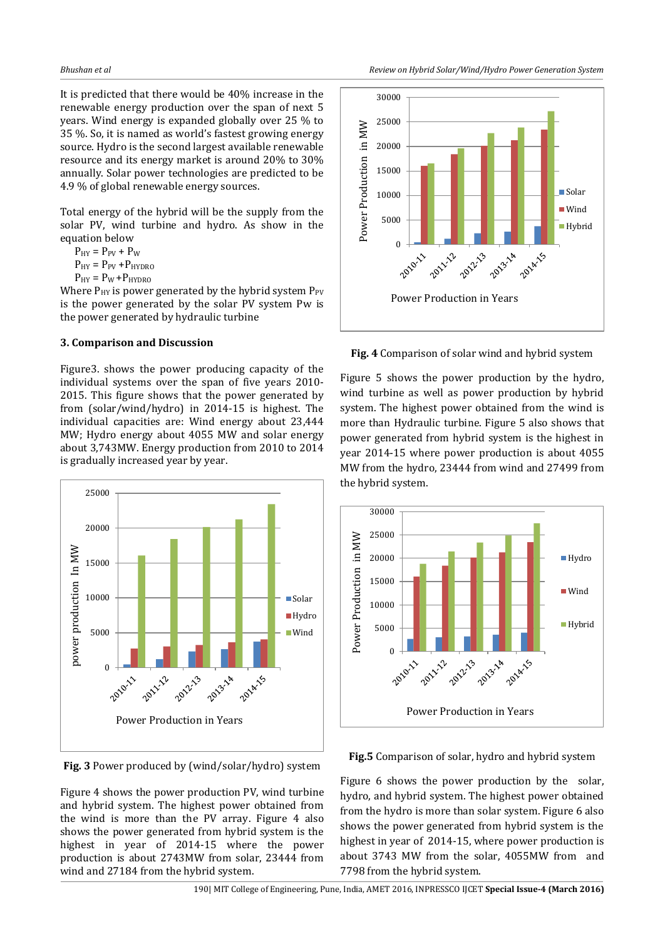It is predicted that there would be 40% increase in the renewable energy production over the span of next 5 years. Wind energy is expanded globally over 25 % to 35 %. So, it is named as world's fastest growing energy source. Hydro is the second largest available renewable resource and its energy market is around 20% to 30% annually. Solar power technologies are predicted to be 4.9 % of global renewable energy sources.

Total energy of the hybrid will be the supply from the solar PV, wind turbine and hydro. As show in the equation below

 $P_{HY} = P_{PV} + P_W$ 

 $P_{HY} = P_{PV} + P_{HYDRO}$ 

 $P_{HY} = P_W + P_{HYDRO}$ 

Where  $P_{HY}$  is power generated by the hybrid system  $P_{PV}$ is the power generated by the solar PV system Pw is the power generated by hydraulic turbine

#### **3. Comparison and Discussion**

Figure3. shows the power producing capacity of the individual systems over the span of five years 2010- 2015. This figure shows that the power generated by from (solar/wind/hydro) in 2014-15 is highest. The individual capacities are: Wind energy about 23,444 MW; Hydro energy about 4055 MW and solar energy about 3,743MW. Energy production from 2010 to 2014 is gradually increased year by year.



**Fig. 3** Power produced by (wind/solar/hydro) system

Figure 4 shows the power production PV, wind turbine and hybrid system. The highest power obtained from the wind is more than the PV array. Figure 4 also shows the power generated from hybrid system is the highest in year of 2014-15 where the power production is about 2743MW from solar, 23444 from wind and 27184 from the hybrid system.



**Fig. 4** Comparison of solar wind and hybrid system

Figure 5 shows the power production by the hydro, wind turbine as well as power production by hybrid system. The highest power obtained from the wind is more than Hydraulic turbine. Figure 5 also shows that power generated from hybrid system is the highest in year 2014-15 where power production is about 4055 MW from the hydro, 23444 from wind and 27499 from the hybrid system.



#### **Fig.5** Comparison of solar, hydro and hybrid system

Figure 6 shows the power production by the solar, hydro, and hybrid system. The highest power obtained from the hydro is more than solar system. Figure 6 also shows the power generated from hybrid system is the highest in year of 2014-15, where power production is about 3743 MW from the solar, 4055MW from and 7798 from the hybrid system.